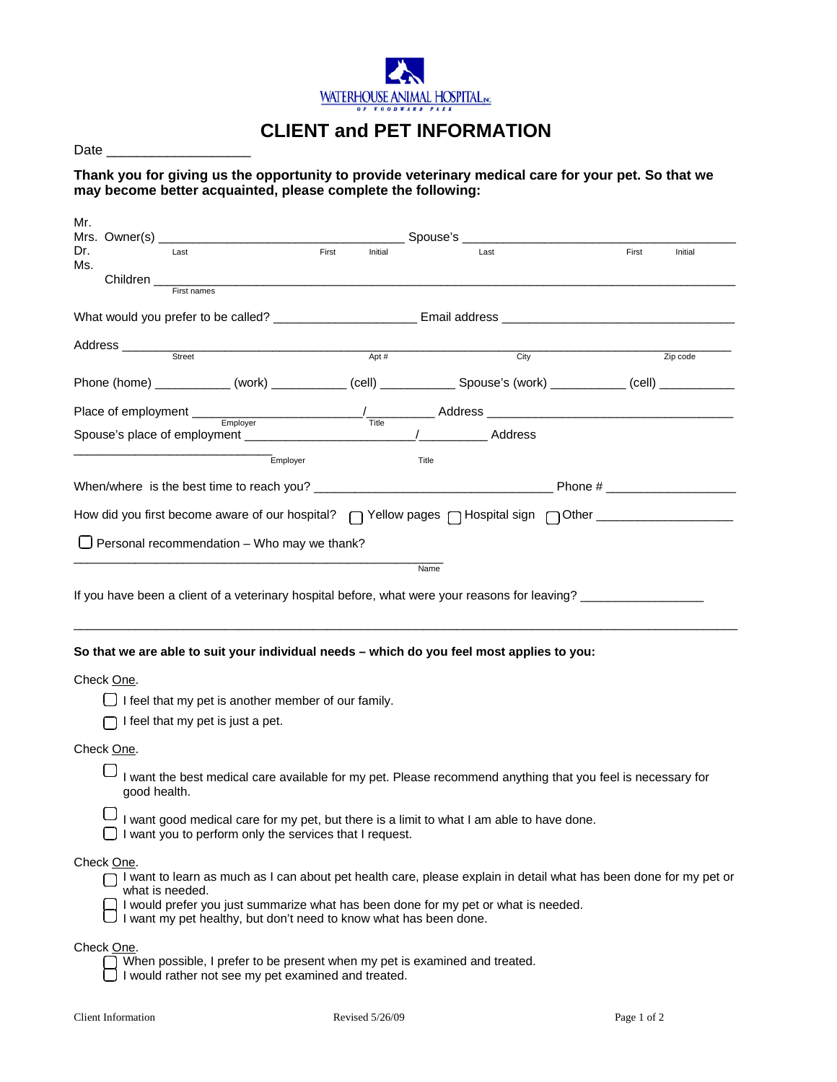

## **CLIENT and PET INFORMATION**

| Date |  |
|------|--|
|      |  |

**Thank you for giving us the opportunity to provide veterinary medical care for your pet. So that we may become better acquainted, please complete the following:**

| Mr.<br>Mrs. Owner(s) _        |                                                                   |       |         | Spouse's _                                                                                 |                                                                                                                   |
|-------------------------------|-------------------------------------------------------------------|-------|---------|--------------------------------------------------------------------------------------------|-------------------------------------------------------------------------------------------------------------------|
| Dr.<br>Last                   |                                                                   | First | Initial | Last                                                                                       | First<br>Initial                                                                                                  |
| Ms.<br>Children               |                                                                   |       |         |                                                                                            |                                                                                                                   |
|                               | First names                                                       |       |         |                                                                                            |                                                                                                                   |
|                               |                                                                   |       |         |                                                                                            |                                                                                                                   |
| Address _________             |                                                                   |       |         |                                                                                            |                                                                                                                   |
|                               | $\frac{1}{\text{Street}}$                                         |       | Apt $#$ | City                                                                                       | Zip code                                                                                                          |
|                               |                                                                   |       |         |                                                                                            |                                                                                                                   |
|                               |                                                                   |       |         |                                                                                            |                                                                                                                   |
|                               |                                                                   |       |         | / Address                                                                                  |                                                                                                                   |
|                               | Employer                                                          |       |         | Title                                                                                      |                                                                                                                   |
|                               |                                                                   |       |         |                                                                                            |                                                                                                                   |
|                               |                                                                   |       |         |                                                                                            | How did you first become aware of our hospital? [ ] Yellow pages [ ] Hospital sign [ ] Other _________________    |
|                               |                                                                   |       |         |                                                                                            |                                                                                                                   |
|                               | Personal recommendation - Who may we thank?                       |       |         |                                                                                            |                                                                                                                   |
|                               |                                                                   |       |         |                                                                                            | If you have been a client of a veterinary hospital before, what were your reasons for leaving?                    |
|                               |                                                                   |       |         | So that we are able to suit your individual needs - which do you feel most applies to you: |                                                                                                                   |
| Check One.                    |                                                                   |       |         |                                                                                            |                                                                                                                   |
|                               | I feel that my pet is another member of our family.               |       |         |                                                                                            |                                                                                                                   |
|                               | I feel that my pet is just a pet.                                 |       |         |                                                                                            |                                                                                                                   |
| Check One.                    |                                                                   |       |         |                                                                                            |                                                                                                                   |
| good health.                  |                                                                   |       |         |                                                                                            | I want the best medical care available for my pet. Please recommend anything that you feel is necessary for       |
|                               | I want you to perform only the services that I request.           |       |         | I want good medical care for my pet, but there is a limit to what I am able to have done.  |                                                                                                                   |
| Check One.<br>what is needed. | I want my pet healthy, but don't need to know what has been done. |       |         | I would prefer you just summarize what has been done for my pet or what is needed.         | I want to learn as much as I can about pet health care, please explain in detail what has been done for my pet or |

Check One.

- When possible, I prefer to be present when my pet is examined and treated. I When possible, I preter to be present whom  $\Box$  I would rather not see my pet examined and treated.
	-